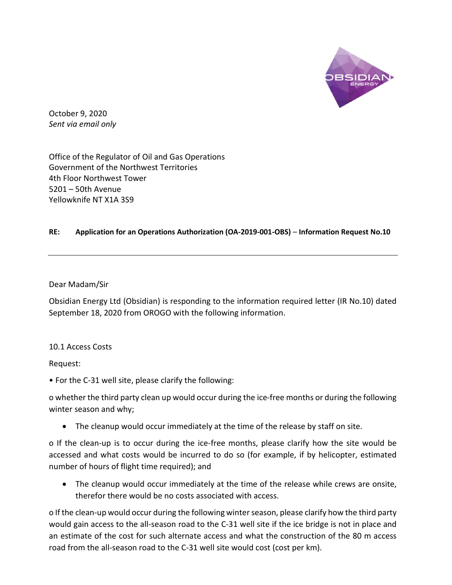

October 9, 2020 Sent via email only

Office of the Regulator of Oil and Gas Operations Government of the Northwest Territories 4th Floor Northwest Tower 5201 – 50th Avenue Yellowknife NT X1A 3S9

## RE: Application for an Operations Authorization (OA-2019-001-OBS) – Information Request No.10

Dear Madam/Sir

Obsidian Energy Ltd (Obsidian) is responding to the information required letter (IR No.10) dated September 18, 2020 from OROGO with the following information.

10.1 Access Costs

Request:

• For the C-31 well site, please clarify the following:

o whether the third party clean up would occur during the ice-free months or during the following winter season and why;

The cleanup would occur immediately at the time of the release by staff on site.

o If the clean-up is to occur during the ice-free months, please clarify how the site would be accessed and what costs would be incurred to do so (for example, if by helicopter, estimated number of hours of flight time required); and

 The cleanup would occur immediately at the time of the release while crews are onsite, therefor there would be no costs associated with access.

o If the clean-up would occur during the following winter season, please clarify how the third party would gain access to the all-season road to the C-31 well site if the ice bridge is not in place and an estimate of the cost for such alternate access and what the construction of the 80 m access road from the all-season road to the C-31 well site would cost (cost per km).